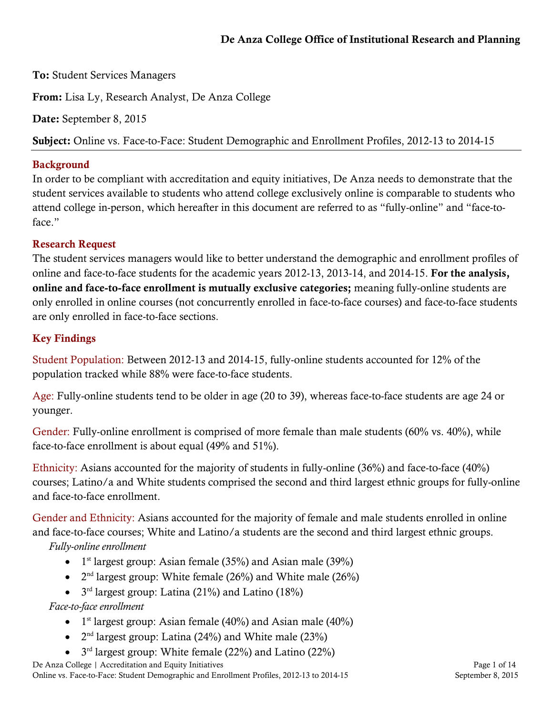# De Anza College Office of Institutional Research and Planning

To: Student Services Managers

From: Lisa Ly, Research Analyst, De Anza College

Date: September 8, 2015

Subject: Online vs. Face-to-Face: Student Demographic and Enrollment Profiles, 2012-13 to 2014-15

#### Background

In order to be compliant with accreditation and equity initiatives, De Anza needs to demonstrate that the student services available to students who attend college exclusively online is comparable to students who attend college in-person, which hereafter in this document are referred to as "fully-online" and "face-toface."

#### Research Request

The student services managers would like to better understand the demographic and enrollment profiles of online and face-to-face students for the academic years 2012-13, 2013-14, and 2014-15. For the analysis, online and face-to-face enrollment is mutually exclusive categories; meaning fully-online students are only enrolled in online courses (not concurrently enrolled in face-to-face courses) and face-to-face students are only enrolled in face-to-face sections.

#### Key Findings

Student Population: Between 2012-13 and 2014-15, fully-online students accounted for 12% of the population tracked while 88% were face-to-face students.

Age: Fully-online students tend to be older in age (20 to 39), whereas face-to-face students are age 24 or younger.

Gender: Fully-online enrollment is comprised of more female than male students (60% vs. 40%), while face-to-face enrollment is about equal (49% and 51%).

Ethnicity: Asians accounted for the majority of students in fully-online (36%) and face-to-face (40%) courses; Latino/a and White students comprised the second and third largest ethnic groups for fully-online and face-to-face enrollment.

Gender and Ethnicity: Asians accounted for the majority of female and male students enrolled in online and face-to-face courses; White and Latino/a students are the second and third largest ethnic groups.

*Fully-online enrollment*

- $1<sup>st</sup>$  largest group: Asian female (35%) and Asian male (39%)
- $2<sup>nd</sup>$  largest group: White female (26%) and White male (26%)
- $3<sup>rd</sup>$  largest group: Latina (21%) and Latino (18%)

*Face-to-face enrollment*

- $1<sup>st</sup>$  largest group: Asian female (40%) and Asian male (40%)
- $2<sup>nd</sup>$  largest group: Latina (24%) and White male (23%)
- $3<sup>rd</sup>$  largest group: White female (22%) and Latino (22%)

De Anza College | Accreditation and Equity Initiatives Page 1 of 14 Online vs. Face-to-Face: Student Demographic and Enrollment Profiles, 2012-13 to 2014-15 September 8, 2015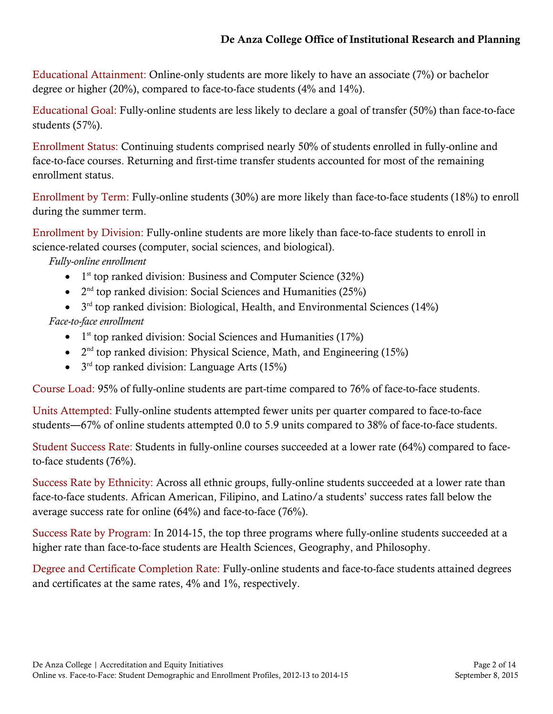Educational Attainment: Online-only students are more likely to have an associate (7%) or bachelor degree or higher (20%), compared to face-to-face students (4% and 14%).

Educational Goal: Fully-online students are less likely to declare a goal of transfer (50%) than face-to-face students (57%).

Enrollment Status: Continuing students comprised nearly 50% of students enrolled in fully-online and face-to-face courses. Returning and first-time transfer students accounted for most of the remaining enrollment status.

Enrollment by Term: Fully-online students (30%) are more likely than face-to-face students (18%) to enroll during the summer term.

Enrollment by Division: Fully-online students are more likely than face-to-face students to enroll in science-related courses (computer, social sciences, and biological).

*Fully-online enrollment*

- $1<sup>st</sup>$  top ranked division: Business and Computer Science (32%)
- $2<sup>nd</sup>$  top ranked division: Social Sciences and Humanities (25%)
- $3<sup>rd</sup>$  top ranked division: Biological, Health, and Environmental Sciences (14%)

*Face-to-face enrollment*

- $1<sup>st</sup>$  top ranked division: Social Sciences and Humanities (17%)
- $2<sup>nd</sup>$  top ranked division: Physical Science, Math, and Engineering (15%)
- $3<sup>rd</sup>$  top ranked division: Language Arts (15%)

Course Load: 95% of fully-online students are part-time compared to 76% of face-to-face students.

Units Attempted: Fully-online students attempted fewer units per quarter compared to face-to-face students―67% of online students attempted 0.0 to 5.9 units compared to 38% of face-to-face students.

Student Success Rate: Students in fully-online courses succeeded at a lower rate (64%) compared to faceto-face students (76%).

Success Rate by Ethnicity: Across all ethnic groups, fully-online students succeeded at a lower rate than face-to-face students. African American, Filipino, and Latino/a students' success rates fall below the average success rate for online (64%) and face-to-face (76%).

Success Rate by Program: In 2014-15, the top three programs where fully-online students succeeded at a higher rate than face-to-face students are Health Sciences, Geography, and Philosophy.

Degree and Certificate Completion Rate: Fully-online students and face-to-face students attained degrees and certificates at the same rates, 4% and 1%, respectively.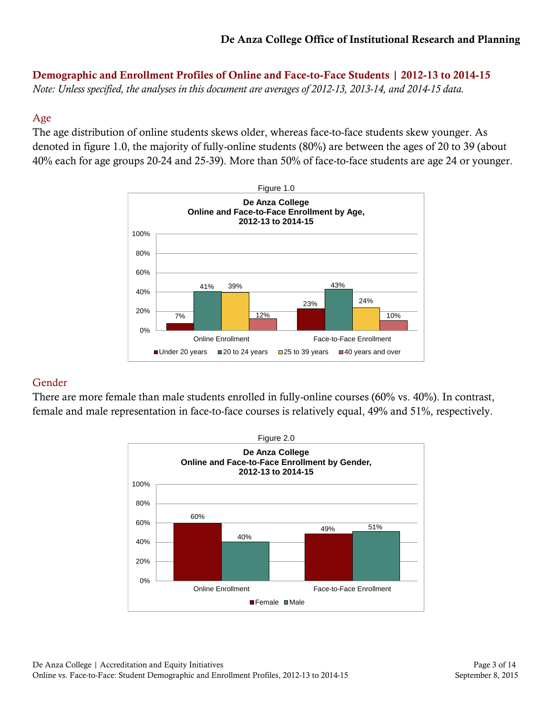Demographic and Enrollment Profiles of Online and Face-to-Face Students | 2012-13 to 2014-15

*Note: Unless specified, the analyses in this document are averages of 2012-13, 2013-14, and 2014-15 data.*

# Age

The age distribution of online students skews older, whereas face-to-face students skew younger. As denoted in figure 1.0, the majority of fully-online students (80%) are between the ages of 20 to 39 (about 40% each for age groups 20-24 and 25-39). More than 50% of face-to-face students are age 24 or younger.



# Gender

There are more female than male students enrolled in fully-online courses (60% vs. 40%). In contrast, female and male representation in face-to-face courses is relatively equal, 49% and 51%, respectively.

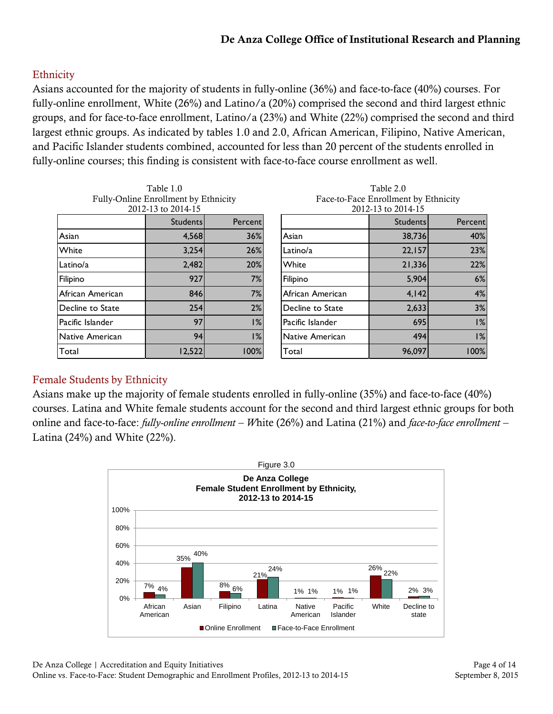# De Anza College Office of Institutional Research and Planning

#### **Ethnicity**

Asians accounted for the majority of students in fully-online (36%) and face-to-face (40%) courses. For fully-online enrollment, White (26%) and Latino/a (20%) comprised the second and third largest ethnic groups, and for face-to-face enrollment, Latino/a (23%) and White (22%) comprised the second and third largest ethnic groups. As indicated by tables 1.0 and 2.0, African American, Filipino, Native American, and Pacific Islander students combined, accounted for less than 20 percent of the students enrolled in fully-online courses; this finding is consistent with face-to-face course enrollment as well.

Table 1.0 Fully-Online Enrollment by Ethnicity 2012-13 to 2014-15 Students Percent Asian 4,568 36% White 3,254 26% Latino/a 2,482 20% Filipino 927 7% African American 846 7% Decline to State  $\begin{array}{|c|c|c|c|c|}\n\hline\n254 & 2\% \n\end{array}$ Pacific Islander 1% Native American 94 1% Total 12,522 100%

| Face-to-Face Enrollment by Ethnicity<br>2012-13 to 2014-15 |                 |         |  |  |  |  |
|------------------------------------------------------------|-----------------|---------|--|--|--|--|
|                                                            |                 |         |  |  |  |  |
|                                                            | <b>Students</b> | Percent |  |  |  |  |
| Asian                                                      | 38,736          | 40%     |  |  |  |  |
| Latino/a                                                   | 22,157          | 23%     |  |  |  |  |
| White                                                      | 21,336          | 22%     |  |  |  |  |
| Filipino                                                   | 5,904           | 6%      |  |  |  |  |
| African American                                           | 4,142           | 4%      |  |  |  |  |
| Decline to State                                           | 2,633           | 3%      |  |  |  |  |
| Pacific Islander                                           | 695             | 1%      |  |  |  |  |
| Native American                                            | 494             | 1%      |  |  |  |  |

Total 100% **100%** 

Table 2.0

#### Female Students by Ethnicity

Asians make up the majority of female students enrolled in fully-online (35%) and face-to-face (40%) courses. Latina and White female students account for the second and third largest ethnic groups for both online and face-to-face: *fully-online enrollment – W*hite (26%) and Latina (21%) and *face-to-face enrollment –* Latina  $(24%)$  and White  $(22%)$ .

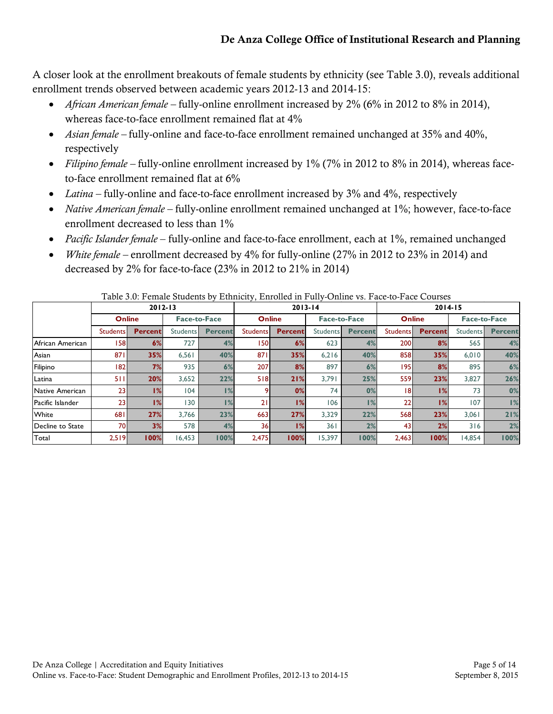A closer look at the enrollment breakouts of female students by ethnicity (see Table 3.0), reveals additional enrollment trends observed between academic years 2012-13 and 2014-15:

- *African American female –* fully-online enrollment increased by 2% (6% in 2012 to 8% in 2014), whereas face-to-face enrollment remained flat at 4%
- *Asian female –* fully-online and face-to-face enrollment remained unchanged at 35% and 40%, respectively
- *Filipino female –* fully-online enrollment increased by 1% (7% in 2012 to 8% in 2014), whereas faceto-face enrollment remained flat at 6%
- *Latina* fully-online and face-to-face enrollment increased by 3% and 4%, respectively
- *Native American female –* fully-online enrollment remained unchanged at 1%; however, face-to-face enrollment decreased to less than 1%
- *Pacific Islander female* fully-online and face-to-face enrollment, each at 1%, remained unchanged
- *White female –* enrollment decreased by 4% for fully-online (27% in 2012 to 23% in 2014) and decreased by 2% for face-to-face (23% in 2012 to 21% in 2014)

|                  | $2012 - 13$     |                |                     | $2013 - 14$    |                 |                | $2014 - 15$         |                |                 |                |                     |                |
|------------------|-----------------|----------------|---------------------|----------------|-----------------|----------------|---------------------|----------------|-----------------|----------------|---------------------|----------------|
|                  | <b>Online</b>   |                | <b>Face-to-Face</b> |                | <b>Online</b>   |                | <b>Face-to-Face</b> |                | <b>Online</b>   |                | <b>Face-to-Face</b> |                |
|                  | <b>Students</b> | <b>Percent</b> | Students            | <b>Percent</b> | <b>Students</b> | <b>Percent</b> | Students            | <b>Percent</b> | <b>Students</b> | <b>Percent</b> | Students            | <b>Percent</b> |
| African American | 1581            | 6%             | 727                 | 4%             | 1501            | 6%             | 623                 | 4%             | <b>200</b>      | 8%             | 565                 | 4%             |
| Asian            | 871             | 35%            | 6.561               | 40%            | 871             | 35%            | 6.216               | 40%            | 858             | 35%            | 6,010               | 40%            |
| Filipino         | 182 I           | 7%             | 935                 | 6%             | 207             | 8%             | 897                 | 6%             | 1951            | 8%             | 895                 | 6%             |
| Latina           | 511             | 20%            | 3,652               | 22%            | 518             | 21%            | 3.791               | 25%            | 559             | 23%            | 3,827               | 26%            |
| Native American  | 23 <sub>1</sub> | 1%             | 104                 | 1%             |                 | 0%             | 74                  | 0%             | 18              | 1%             | 73                  | 0%             |
| Pacific Islander | 23 <sub>1</sub> | 1%             | 130                 | 1%             | 21              | 1%             | 106                 | 1%             | 22              | 1%             | 107                 | 1%             |
| White            | 681             | 27%            | 3.766               | 23%            | 663             | 27%            | 3.329               | 22%            | 568             | 23%            | 3,061               | 21%            |
| Decline to State | 70I             | 3%             | 578                 | 4%             | 36 <sub>1</sub> | 1%             | 361                 | 2%             | 43              | 2%             | 316                 | 2%             |
| Total            | 2.519           | 100%           | 16,453              | 100%           | 2.475           | 100%           | 15.397              | 100%           | 2.463           | 100%           | 14.854              | 100%           |

Table 3.0: Female Students by Ethnicity, Enrolled in Fully-Online vs. Face-to-Face Courses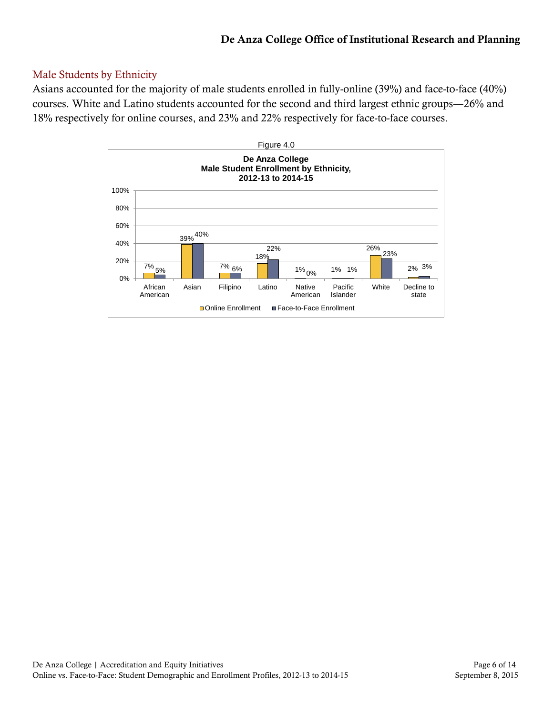# Male Students by Ethnicity

Asians accounted for the majority of male students enrolled in fully-online (39%) and face-to-face (40%) courses. White and Latino students accounted for the second and third largest ethnic groups―26% and 18% respectively for online courses, and 23% and 22% respectively for face-to-face courses.

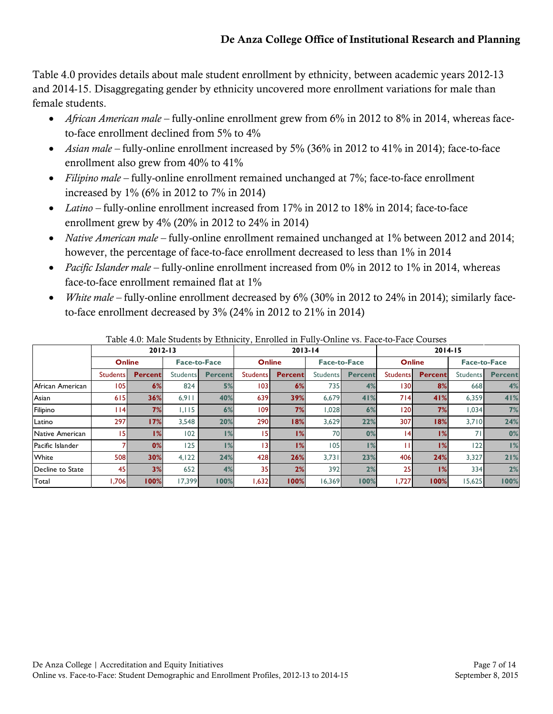Table 4.0 provides details about male student enrollment by ethnicity, between academic years 2012-13 and 2014-15. Disaggregating gender by ethnicity uncovered more enrollment variations for male than female students.

- *African American male –* fully-online enrollment grew from 6% in 2012 to 8% in 2014, whereas faceto-face enrollment declined from 5% to 4%
- *Asian male –* fully-online enrollment increased by 5% (36% in 2012 to 41% in 2014); face-to-face enrollment also grew from 40% to 41%
- *Filipino male –* fully-online enrollment remained unchanged at 7%; face-to-face enrollment increased by 1% (6% in 2012 to 7% in 2014)
- *Latino –* fully-online enrollment increased from 17% in 2012 to 18% in 2014; face-to-face enrollment grew by 4% (20% in 2012 to 24% in 2014)
- *Native American male –* fully-online enrollment remained unchanged at 1% between 2012 and 2014; however, the percentage of face-to-face enrollment decreased to less than 1% in 2014
- *Pacific Islander male –* fully-online enrollment increased from 0% in 2012 to 1% in 2014, whereas face-to-face enrollment remained flat at 1%
- *White male –* fully-online enrollment decreased by 6% (30% in 2012 to 24% in 2014); similarly faceto-face enrollment decreased by 3% (24% in 2012 to 21% in 2014)

|                  | $2012 - 13$     |                |                     |                | $2013 - 14$     |                |                     | $2014 - 15$    |                 |                |                     |                |
|------------------|-----------------|----------------|---------------------|----------------|-----------------|----------------|---------------------|----------------|-----------------|----------------|---------------------|----------------|
|                  | <b>Online</b>   |                | <b>Face-to-Face</b> |                | <b>Online</b>   |                | <b>Face-to-Face</b> |                | <b>Online</b>   |                | <b>Face-to-Face</b> |                |
|                  | <b>Students</b> | <b>Percent</b> | <b>Students</b>     | <b>Percent</b> | <b>Students</b> | <b>Percent</b> | Students            | <b>Percent</b> | <b>Students</b> | <b>Percent</b> | <b>Students</b>     | <b>Percent</b> |
| African American | 105             | 6%             | 824                 | 5%             | 1031            | 6%             | 735                 | 4%             | 130I            | 8%             | 668                 | 4%             |
| Asian            | 615             | 36%            | 6.911               | 40%            | 639             | 39%            | 6.679               | 41%            | 714             | 41%            | 6,359               | 41%            |
| Filipino         | <u> 1141</u>    | 7%             | 1,115               | 6%             | 1091            | 7%             | 1,028               | 6%             | 120I            | 7%             | 1,034               | 7%             |
| Latino           | 297             | 17%            | 3.548               | 20%            | <b>290</b>      | 18%            | 3,629               | 22%            | 307             | 18%            | 3.710               | 24%            |
| Native American  | 15.             | 1%             | 102                 | 1%             | 15              | 1%             | 70                  | 0%             | 14              | 1%             | 71                  | 0%             |
| Pacific Islander |                 | 0%             | 125                 | 1%             | 13              | 1%             | 05                  | 1%             |                 | 1%             | 122                 | 1%             |
| White            | 508             | 30%            | 4,122               | 24%            | 428             | 26%            | 3,731               | 23%            | 406             | 24%            | 3,327               | 21%            |
| Decline to State | 45              | 3%             | 652                 | 4%             | 35 <sub>1</sub> | 2%             | 392                 | 2%             | 25              | 1%             | 334                 | 2%             |
| Total            | 1,706           | 100%           | 17.399              | 100%           | 1,632           | 100%           | 16,369              | 100%           | 1.727           | 100%           | 15,625              | 100%           |

Table 4.0: Male Students by Ethnicity, Enrolled in Fully-Online vs. Face-to-Face Courses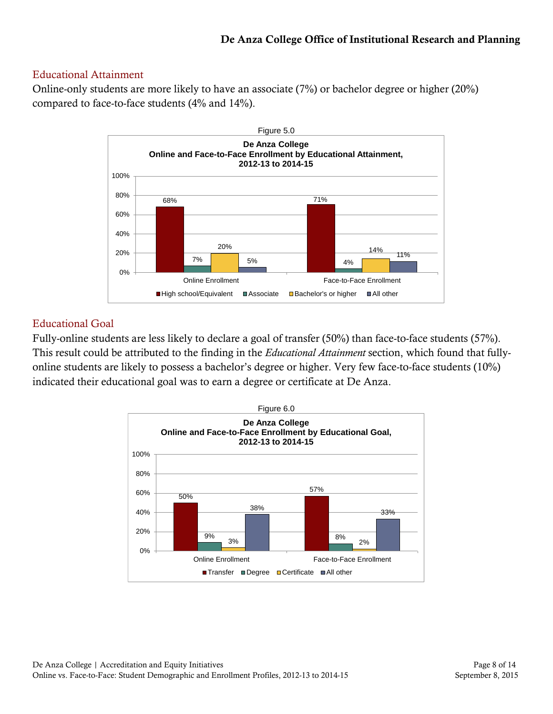#### Educational Attainment

Online-only students are more likely to have an associate (7%) or bachelor degree or higher (20%) compared to face-to-face students (4% and 14%).



### Educational Goal

Fully-online students are less likely to declare a goal of transfer (50%) than face-to-face students (57%). This result could be attributed to the finding in the *Educational Attainment* section, which found that fullyonline students are likely to possess a bachelor's degree or higher. Very few face-to-face students (10%) indicated their educational goal was to earn a degree or certificate at De Anza.

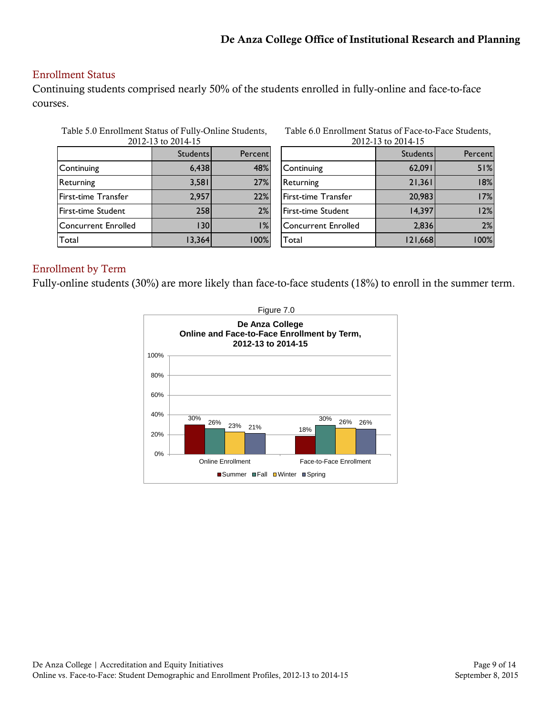### Enrollment Status

Continuing students comprised nearly 50% of the students enrolled in fully-online and face-to-face courses.

| Table 5.0 Enrollment Status of Fully-Online Students, |                      |  |
|-------------------------------------------------------|----------------------|--|
|                                                       | 0.110, 101.0011, 100 |  |

| 2012-13 to 2014-15         |                 |         |  |  |  |  |
|----------------------------|-----------------|---------|--|--|--|--|
|                            | <b>Students</b> | Percent |  |  |  |  |
| Continuing                 | 6,438           | 48%     |  |  |  |  |
| Returning                  | 3,581           | 27%     |  |  |  |  |
| First-time Transfer        | 2,957           | 22%     |  |  |  |  |
| First-time Student         | 258             | 2%      |  |  |  |  |
| <b>Concurrent Enrolled</b> | 130             | 1%      |  |  |  |  |
| Total                      | 13,364          | 100%    |  |  |  |  |

Table 6.0 Enrollment Status of Face-to-Face Students, 2012-13 to 2014-15

| 2012-13 10 2014-13         |                 |         |  |  |  |
|----------------------------|-----------------|---------|--|--|--|
|                            | <b>Students</b> | Percent |  |  |  |
| Continuing                 | 62,091          | 51%     |  |  |  |
| Returning                  | 21,361          | 18%     |  |  |  |
| First-time Transfer        | 20,983          | 17%     |  |  |  |
| First-time Student         | 14,397          | 12%     |  |  |  |
| <b>Concurrent Enrolled</b> | 2,836           | 2%      |  |  |  |
| Total                      | 121,668         | 100%    |  |  |  |

#### Enrollment by Term

Fully-online students (30%) are more likely than face-to-face students (18%) to enroll in the summer term.

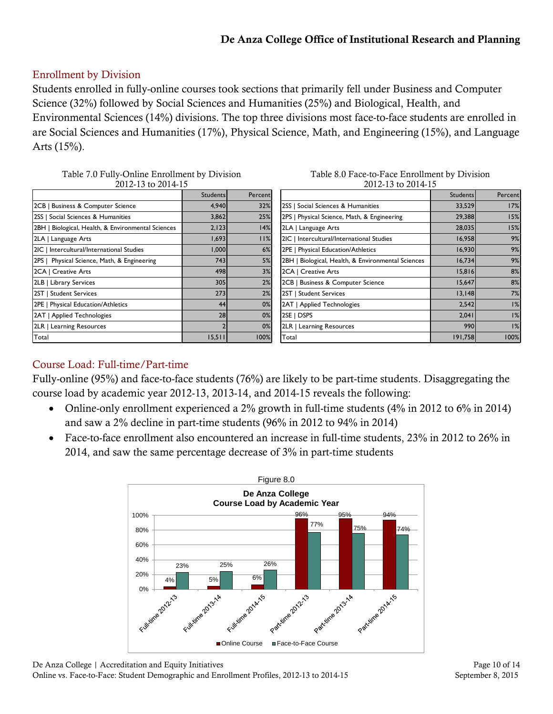# Enrollment by Division

Students enrolled in fully-online courses took sections that primarily fell under Business and Computer Science (32%) followed by Social Sciences and Humanities (25%) and Biological, Health, and Environmental Sciences (14%) divisions. The top three divisions most face-to-face students are enrolled in are Social Sciences and Humanities (17%), Physical Science, Math, and Engineering (15%), and Language Arts (15%).

| Table 7.0 Fully-Online Enrollment by Division |  |
|-----------------------------------------------|--|
| 2012-13 to 2014-15                            |  |
|                                               |  |

| Table 8.0 Face-to-Face Enrollment by Division |
|-----------------------------------------------|
| 2012-13 to 2014-15                            |

|                                                    | <b>Students</b> | Percent |
|----------------------------------------------------|-----------------|---------|
| 2CB   Business & Computer Science                  | 4,940           | 32%     |
| 2SS   Social Sciences & Humanities                 | 3,862           | 25%     |
| 2BH   Biological, Health, & Environmental Sciences | 2,123           | 14%     |
| 2LA   Language Arts                                | 1,693           | 11%     |
| 2IC   Intercultural/International Studies          | 1,000           | 6%      |
| 2PS   Physical Science, Math, & Engineering        | 743             | 5%      |
| 2CA   Creative Arts                                | 498             | 3%      |
| 2LB   Library Services                             | 305             | 2%      |
| 2ST   Student Services                             | 273             | 2%      |
| 2PE   Physical Education/Athletics                 | 44              | 0%      |
| 2AT   Applied Technologies                         | 28              | 0%      |
| 2LR   Learning Resources                           |                 | 0%      |
| Total                                              | 15,511          | 100%    |

|                                                    | <b>Students</b> | Percent |
|----------------------------------------------------|-----------------|---------|
| 2SS   Social Sciences & Humanities                 | 33,529          | 17%     |
| 2PS   Physical Science, Math, & Engineering        | 29,388          | 15%     |
| 2LA   Language Arts                                | 28,035          | 15%     |
| 2IC   Intercultural/International Studies          | 16,958          | 9%      |
| 2PE   Physical Education/Athletics                 | 16,930          | 9%      |
| 2BH   Biological, Health, & Environmental Sciences | 16,734          | 9%      |
| 2CA   Creative Arts                                | 15,816          | 8%      |
| 2CB   Business & Computer Science                  | 15,647          | 8%      |
| 2ST   Student Services                             | 13,148          | 7%      |
| 2AT   Applied Technologies                         | 2,542           | 1%      |
| 2SE   DSPS                                         | 2,041           | 1%      |
| 2LR   Learning Resources                           | 990             | 1%      |
| Total                                              | 191,758         | 100%    |

# Course Load: Full-time/Part-time

Fully-online (95%) and face-to-face students (76%) are likely to be part-time students. Disaggregating the course load by academic year 2012-13, 2013-14, and 2014-15 reveals the following:

- Online-only enrollment experienced a 2% growth in full-time students (4% in 2012 to 6% in 2014) and saw a 2% decline in part-time students (96% in 2012 to 94% in 2014)
- Face-to-face enrollment also encountered an increase in full-time students, 23% in 2012 to 26% in 2014, and saw the same percentage decrease of 3% in part-time students

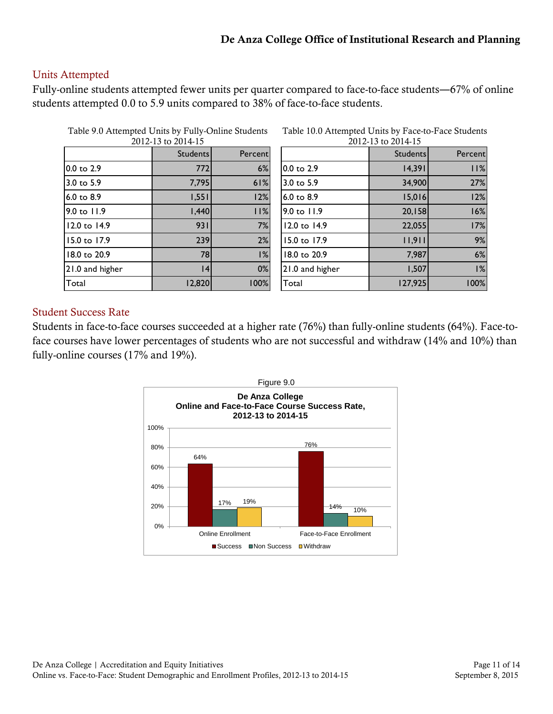### Units Attempted

Fully-online students attempted fewer units per quarter compared to face-to-face students―67% of online students attempted 0.0 to 5.9 units compared to 38% of face-to-face students.

| Table 9.0 Attempted Units by Fully-Online Students<br>2012-13 to 2014-15 |                 |         |  |  |  |
|--------------------------------------------------------------------------|-----------------|---------|--|--|--|
|                                                                          | <b>Students</b> | Percent |  |  |  |
| $0.0 \text{ to } 2.9$                                                    | 772             | 6%      |  |  |  |
| 3.0 to $5.9$                                                             | 7,795           | 61%     |  |  |  |
| $6.0 \text{ to } 8.9$                                                    | 1,551           | 12%     |  |  |  |
| $9.0 \text{ to } 11.9$                                                   | 1,440           | 11%     |  |  |  |
| 12.0 to 14.9                                                             | 931             | 7%      |  |  |  |
| 15.0 to 17.9                                                             | 239             | 2%      |  |  |  |
| 18.0 to 20.9                                                             | 78              | 1%      |  |  |  |
| 21.0 and higher                                                          | 4               | 0%      |  |  |  |
| Total                                                                    | 12,820          | 100%    |  |  |  |

| Table 10.0 Attempted Units by Face-to-Face Students |                               |  |  |
|-----------------------------------------------------|-------------------------------|--|--|
|                                                     | $2012.13 \text{ to } 2014.15$ |  |  |

|                 | <b>Students</b> | Percent |
|-----------------|-----------------|---------|
| 0.0 to 2.9      | 14,391          | 11%     |
| 3.0 to 5.9      | 34,900          | 27%     |
| 6.0 to 8.9      | 15,016          | 12%     |
| 9.0 to 11.9     | 20,158          | 16%     |
| 12.0 to 14.9    | 22,055          | 17%     |
| 15.0 to 17.9    | 11,911          | 9%      |
| 18.0 to 20.9    | 7,987           | 6%      |
| 21.0 and higher | 1,507           | 1%      |
| Total           | 127,925         | 100%    |

### Student Success Rate

Students in face-to-face courses succeeded at a higher rate (76%) than fully-online students (64%). Face-toface courses have lower percentages of students who are not successful and withdraw (14% and 10%) than fully-online courses (17% and 19%).

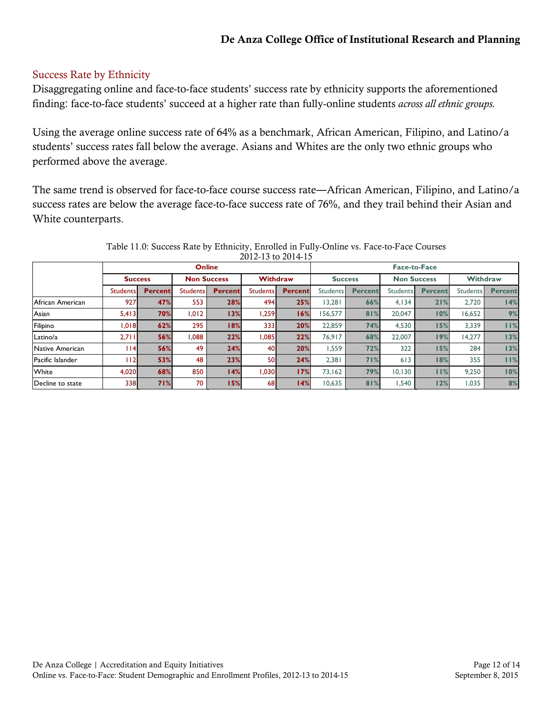### Success Rate by Ethnicity

Disaggregating online and face-to-face students' success rate by ethnicity supports the aforementioned finding: face-to-face students' succeed at a higher rate than fully-online students *across all ethnic groups.*

Using the average online success rate of 64% as a benchmark, African American, Filipino, and Latino/a students' success rates fall below the average. Asians and Whites are the only two ethnic groups who performed above the average.

The same trend is observed for face-to-face course success rate―African American, Filipino, and Latino/a success rates are below the average face-to-face success rate of 76%, and they trail behind their Asian and White counterparts.

|                  | <b>Online</b>   |                |                    |                | <b>Face-to-Face</b>   |                |                 |                |                    |                |                 |                |
|------------------|-----------------|----------------|--------------------|----------------|-----------------------|----------------|-----------------|----------------|--------------------|----------------|-----------------|----------------|
|                  | <b>Success</b>  |                | <b>Non Success</b> |                | <b>Withdraw</b>       |                | <b>Success</b>  |                | <b>Non Success</b> |                | <b>Withdraw</b> |                |
|                  | <b>Students</b> | <b>Percent</b> | <b>Students</b>    | <b>Percent</b> | Students <sup>1</sup> | <b>Percent</b> | <b>Students</b> | <b>Percent</b> | Students           | <b>Percent</b> | Students        | <b>Percent</b> |
| African American | 927             | 47%            | 553                | 28%            | 494                   | 25%            | 13.281          | 66%            | 4.134              | 21%            | 2.720           | 14%            |
| Asian            | 5,413           | 70%            | 1,012              | 13%            | 1,259                 | 16%            | 156,577         | 81%            | 20,047             | 10%            | 16,652          | 9%             |
| Filipino         | 1,018           | 62%            | 295                | 18%            | 3331                  | 20%            | 22,859          | 74%            | 4,530              | 15%            | 3,339           | 11%            |
| Latino/a         | 2,711           | 56%            | 1.088              | 22%            | 1.085                 | 22%            | 76.917          | 68%            | 22,007             | 19%            | 14,277          | 13%            |
| Native American  | 114             | 56%            | 49                 | 24%            | 40I                   | 20%            | 1.559           | 72%            | 322                | 15%            | 284             | 13%            |
| Pacific Islander | l 12            | 53%            | 48                 | 23%            | 50                    | 24%            | 2,381           | 71%            | 613                | 18%            | 355             | 11%            |
| White            | 4,020           | 68%            | 850                | 14%            | 1.030                 | 17%            | 73.162          | 79%            | 10.130             | 11%            | 9.250           | 10%            |
| Decline to state | <b>338</b>      | 71%            | 70                 | 15%            | 68I                   | 14%            | 10,635          | 81%            | 1.540              | 12%            | 1,035           | 8%             |

Table 11.0: Success Rate by Ethnicity, Enrolled in Fully-Online vs. Face-to-Face Courses 2012-13 to 2014-15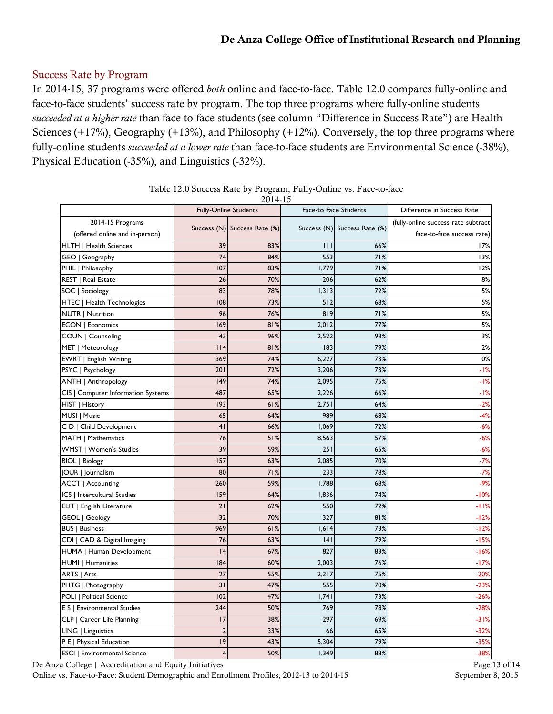### Success Rate by Program

In 2014-15, 37 programs were offered *both* online and face-to-face. Table 12.0 compares fully-online and face-to-face students' success rate by program. The top three programs where fully-online students *succeeded at a higher rate* than face-to-face students (see column "Difference in Success Rate") are Health Sciences (+17%), Geography (+13%), and Philosophy (+12%). Conversely, the top three programs where fully-online students *succeeded at a lower rate* than face-to-face students are Environmental Science (-38%), Physical Education (-35%), and Linguistics (-32%).

| 2014-15                             |                              |                              |       |                              |                                     |  |  |
|-------------------------------------|------------------------------|------------------------------|-------|------------------------------|-------------------------------------|--|--|
|                                     | <b>Fully-Online Students</b> |                              |       | <b>Face-to Face Students</b> | Difference in Success Rate          |  |  |
| 2014-15 Programs                    |                              | Success (N) Success Rate (%) |       | Success (N) Success Rate (%) | (fully-online success rate subtract |  |  |
| (offered online and in-person)      |                              |                              |       |                              | face-to-face success rate)          |  |  |
| HLTH   Health Sciences              | 39                           | 83%                          | Ш     | 66%                          | 17%                                 |  |  |
| GEO   Geography                     | 74                           | 84%                          | 553   | 71%                          | 13%                                 |  |  |
| PHIL   Philosophy                   | 107                          | 83%                          | 1,779 | 71%                          | 12%                                 |  |  |
| REST   Real Estate                  | 26                           | 70%                          | 206   | 62%                          | 8%                                  |  |  |
| SOC   Sociology                     | 83                           | 78%                          | 1,313 | 72%                          | 5%                                  |  |  |
| HTEC   Health Technologies          | 108                          | 73%                          | 512   | 68%                          | 5%                                  |  |  |
| <b>NUTR   Nutrition</b>             | 96                           | 76%                          | 819   | 71%                          | 5%                                  |  |  |
| <b>ECON   Economics</b>             | 169                          | 81%                          | 2,012 | 77%                          | 5%                                  |  |  |
| COUN   Counseling                   | 43                           | 96%                          | 2,522 | 93%                          | 3%                                  |  |  |
| MET   Meteorology                   | 114                          | 81%                          | 183   | 79%                          | 2%                                  |  |  |
| EWRT   English Writing              | 369                          | 74%                          | 6,227 | 73%                          | 0%                                  |  |  |
| PSYC   Psychology                   | 201                          | 72%                          | 3,206 | 73%                          | $-1%$                               |  |  |
| ANTH   Anthropology                 | 149                          | 74%                          | 2,095 | 75%                          | $-1%$                               |  |  |
| CIS   Computer Information Systems  | 487                          | 65%                          | 2,226 | 66%                          | $-1%$                               |  |  |
| HIST   History                      | 193                          | 61%                          | 2,751 | 64%                          | $-2%$                               |  |  |
| MUSI   Music                        | 65                           | 64%                          | 989   | 68%                          | $-4%$                               |  |  |
| C D   Child Development             | 4 <sub>1</sub>               | 66%                          | 1,069 | 72%                          | $-6%$                               |  |  |
| MATH   Mathematics                  | 76                           | 51%                          | 8,563 | 57%                          | $-6%$                               |  |  |
| WMST   Women's Studies              | 39                           | 59%                          | 251   | 65%                          | $-6%$                               |  |  |
| <b>BIOL</b>   Biology               | 157                          | 63%                          | 2,085 | 70%                          | $-7%$                               |  |  |
| JOUR   Journalism                   | 80                           | 71%                          | 233   | 78%                          | $-7%$                               |  |  |
| <b>ACCT</b>   Accounting            | 260                          | 59%                          | 1,788 | 68%                          | $-9%$                               |  |  |
| <b>ICS   Intercultural Studies</b>  | 159                          | 64%                          | 1,836 | 74%                          | $-10%$                              |  |  |
| ELIT   English Literature           | 21                           | 62%                          | 550   | 72%                          | $-11%$                              |  |  |
| GEOL   Geology                      | 32                           | 70%                          | 327   | 81%                          | $-12%$                              |  |  |
| <b>BUS   Business</b>               | 969                          | 61%                          | 1,614 | 73%                          | $-12%$                              |  |  |
| CDI   CAD & Digital Imaging         | 76                           | 63%                          | 4     | 79%                          | $-15%$                              |  |  |
| HUMA   Human Development            | 4                            | 67%                          | 827   | 83%                          | $-16%$                              |  |  |
| <b>HUMI</b>   Humanities            | 184                          | 60%                          | 2,003 | 76%                          | $-17%$                              |  |  |
| ARTS   Arts                         | 27                           | 55%                          | 2,217 | 75%                          | $-20%$                              |  |  |
| PHTG   Photography                  | 31                           | 47%                          | 555   | 70%                          | $-23%$                              |  |  |
| POLI   Political Science            | 102                          | 47%                          | 1.741 | 73%                          | $-26%$                              |  |  |
| E S   Environmental Studies         | 244                          | 50%                          | 769   | 78%                          | $-28%$                              |  |  |
| CLP   Career Life Planning          | 17                           | 38%                          | 297   | 69%                          | $-31%$                              |  |  |
| LING   Linguistics                  | $\overline{2}$               | 33%                          | 66    | 65%                          | $-32%$                              |  |  |
| P E   Physical Education            | 9                            | 43%                          | 5,304 | 79%                          | $-35%$                              |  |  |
| <b>ESCI   Environmental Science</b> | $\overline{4}$               | 50%                          | 1,349 | 88%                          | $-38%$                              |  |  |

| Table 12.0 Success Rate by Program, Fully-Online vs. Face-to-face |  |  |
|-------------------------------------------------------------------|--|--|
|                                                                   |  |  |

De Anza College | Accreditation and Equity Initiatives Page 13 of 14

Online vs. Face-to-Face: Student Demographic and Enrollment Profiles, 2012-13 to 2014-15 September 8, 2015